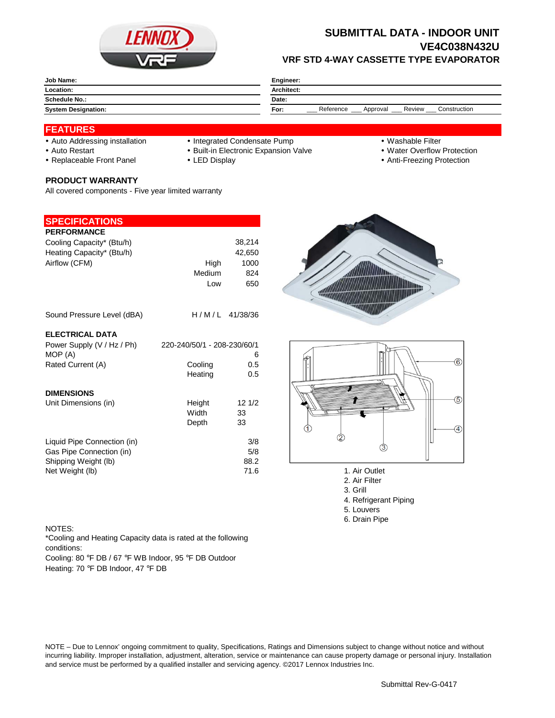

# **SUBMITTAL DATA - INDOOR UNIT VE4C038N432U VRF STD 4-WAY CASSETTE TYPE EVAPORATOR**

| <b>Job Name:</b>           | Engineer:                                               |  |  |
|----------------------------|---------------------------------------------------------|--|--|
| Location:                  | <b>Architect:</b>                                       |  |  |
| Schedule No.:              | Date:                                                   |  |  |
| <b>System Designation:</b> | Review<br>Reference<br>Construction<br>For:<br>Approval |  |  |

## **FEATURES**

- 
- Auto Addressing installation Integrated Condensate Pump Washable Filter
- Auto Restart **Built-in Electronic Expansion Valve Water Overflow Protection** Nuter Overflow Protection
- Replaceable Front Panel LED Display Anti-Freezing Protection

### **PRODUCT WARRANTY**

All covered components - Five year limited warranty

## **SPECIFICATIONS**

| <b>PERFORMANCE</b>                                                                                 |                             |                            |
|----------------------------------------------------------------------------------------------------|-----------------------------|----------------------------|
| Cooling Capacity* (Btu/h)                                                                          |                             | 38,214                     |
| Heating Capacity* (Btu/h)                                                                          |                             | 42,650                     |
| Airflow (CFM)                                                                                      | High                        | 1000                       |
|                                                                                                    | Medium                      | 824                        |
|                                                                                                    | Low                         | 650                        |
| Sound Pressure Level (dBA)                                                                         | H/M/L 41/38/36              |                            |
| <b>ELECTRICAL DATA</b>                                                                             |                             |                            |
| Power Supply (V / Hz / Ph)                                                                         | 220-240/50/1 - 208-230/60/1 |                            |
| MOP (A)                                                                                            |                             | 6                          |
| Rated Current (A)                                                                                  | Cooling                     | 0.5                        |
|                                                                                                    | Heating                     | 0.5                        |
| <b>DIMENSIONS</b>                                                                                  |                             |                            |
| Unit Dimensions (in)                                                                               | Height                      | 12 1/2                     |
|                                                                                                    | Width                       | 33                         |
|                                                                                                    | Depth                       | 33                         |
| Liquid Pipe Connection (in)<br>Gas Pipe Connection (in)<br>Shipping Weight (lb)<br>Net Weight (lb) |                             | 3/8<br>5/8<br>88.2<br>71.6 |





- 1. Air Outlet
- 2. Air Filter
- 3. Grill
- 4. Refrigerant Piping
- 5. Louvers
- 6. Drain Pipe

#### NOTES:

\*Cooling and Heating Capacity data is rated at the following conditions:

Cooling: 80 °F DB / 67 °F WB Indoor, 95 °F DB Outdoor Heating: 70 °F DB Indoor, 47 °F DB

NOTE – Due to Lennox' ongoing commitment to quality, Specifications, Ratings and Dimensions subject to change without notice and without incurring liability. Improper installation, adjustment, alteration, service or maintenance can cause property damage or personal injury. Installation and service must be performed by a qualified installer and servicing agency. ©2017 Lennox Industries Inc.